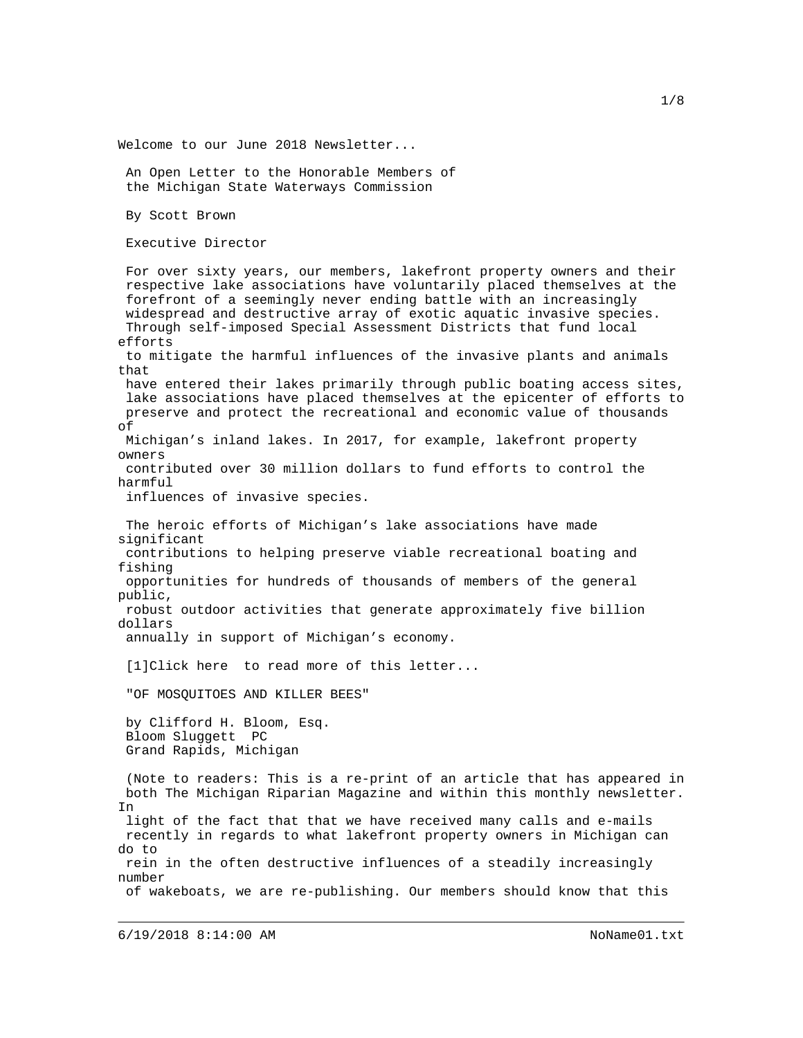Welcome to our June 2018 Newsletter... An Open Letter to the Honorable Members of the Michigan State Waterways Commission By Scott Brown Executive Director For over sixty years, our members, lakefront property owners and their respective lake associations have voluntarily placed themselves at the forefront of a seemingly never ending battle with an increasingly widespread and destructive array of exotic aquatic invasive species. Through self-imposed Special Assessment Districts that fund local efforts to mitigate the harmful influences of the invasive plants and animals that have entered their lakes primarily through public boating access sites, lake associations have placed themselves at the epicenter of efforts to preserve and protect the recreational and economic value of thousands of Michigan's inland lakes. In 2017, for example, lakefront property owners contributed over 30 million dollars to fund efforts to control the harmful influences of invasive species. The heroic efforts of Michigan's lake associations have made significant contributions to helping preserve viable recreational boating and fishing opportunities for hundreds of thousands of members of the general public, robust outdoor activities that generate approximately five billion dollars annually in support of Michigan's economy. [1]Click here to read more of this letter... "OF MOSQUITOES AND KILLER BEES" by Clifford H. Bloom, Esq. Bloom Sluggett PC Grand Rapids, Michigan (Note to readers: This is a re-print of an article that has appeared in both The Michigan Riparian Magazine and within this monthly newsletter. In light of the fact that that we have received many calls and e-mails recently in regards to what lakefront property owners in Michigan can do to rein in the often destructive influences of a steadily increasingly number of wakeboats, we are re-publishing. Our members should know that this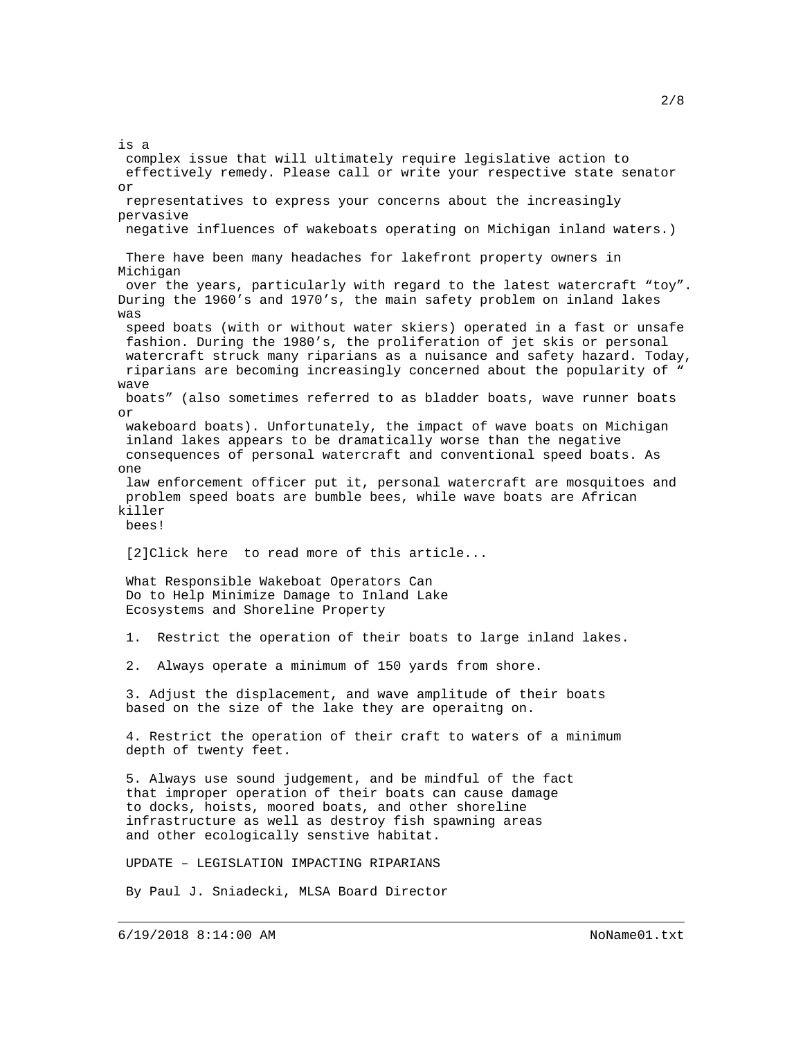is a complex issue that will ultimately require legislative action to effectively remedy. Please call or write your respective state senator or representatives to express your concerns about the increasingly pervasive negative influences of wakeboats operating on Michigan inland waters.) There have been many headaches for lakefront property owners in Michigan over the years, particularly with regard to the latest watercraft "toy". During the 1960's and 1970's, the main safety problem on inland lakes was speed boats (with or without water skiers) operated in a fast or unsafe fashion. During the 1980's, the proliferation of jet skis or personal watercraft struck many riparians as a nuisance and safety hazard. Today, riparians are becoming increasingly concerned about the popularity of " wave boats" (also sometimes referred to as bladder boats, wave runner boats or wakeboard boats). Unfortunately, the impact of wave boats on Michigan inland lakes appears to be dramatically worse than the negative consequences of personal watercraft and conventional speed boats. As one law enforcement officer put it, personal watercraft are mosquitoes and problem speed boats are bumble bees, while wave boats are African killer bees! [2]Click here to read more of this article... What Responsible Wakeboat Operators Can Do to Help Minimize Damage to Inland Lake Ecosystems and Shoreline Property 1. Restrict the operation of their boats to large inland lakes. 2. Always operate a minimum of 150 yards from shore. 3. Adjust the displacement, and wave amplitude of their boats based on the size of the lake they are operaitng on. 4. Restrict the operation of their craft to waters of a minimum depth of twenty feet. 5. Always use sound judgement, and be mindful of the fact that improper operation of their boats can cause damage to docks, hoists, moored boats, and other shoreline infrastructure as well as destroy fish spawning areas and other ecologically senstive habitat. UPDATE – LEGISLATION IMPACTING RIPARIANS By Paul J. Sniadecki, MLSA Board Director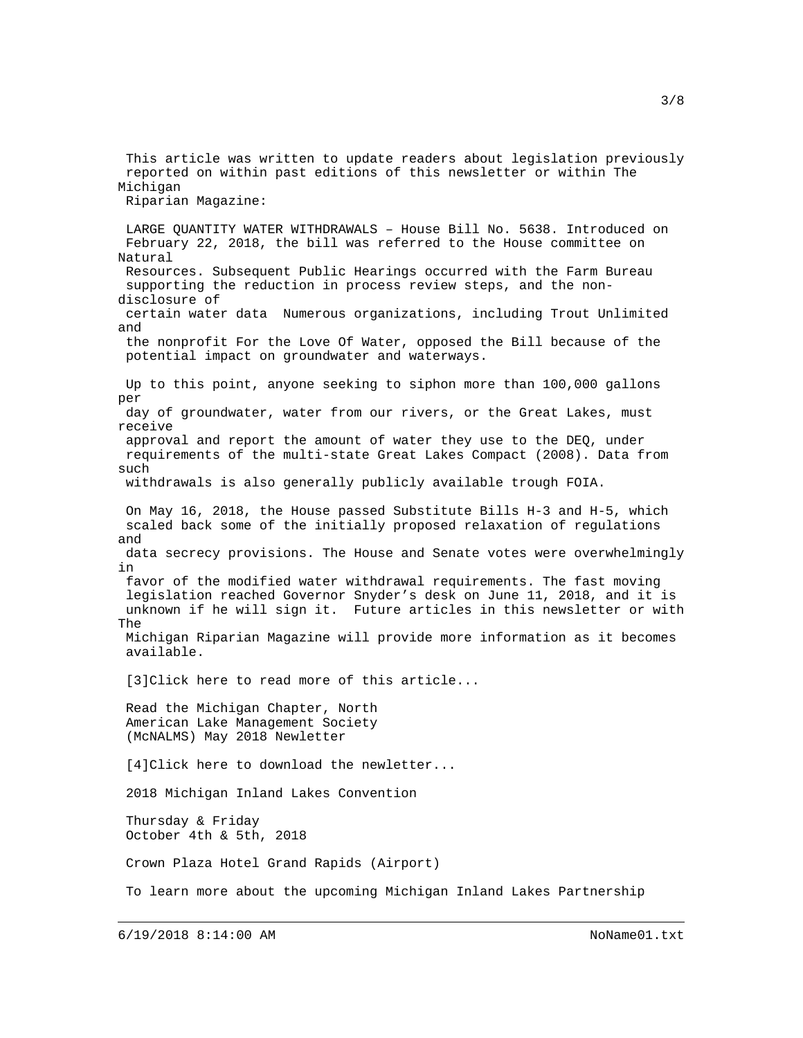This article was written to update readers about legislation previously reported on within past editions of this newsletter or within The Michigan Riparian Magazine:

 LARGE QUANTITY WATER WITHDRAWALS – House Bill No. 5638. Introduced on February 22, 2018, the bill was referred to the House committee on Natural Resources. Subsequent Public Hearings occurred with the Farm Bureau supporting the reduction in process review steps, and the nondisclosure of certain water data Numerous organizations, including Trout Unlimited and the nonprofit For the Love Of Water, opposed the Bill because of the potential impact on groundwater and waterways. Up to this point, anyone seeking to siphon more than 100,000 gallons per day of groundwater, water from our rivers, or the Great Lakes, must receive approval and report the amount of water they use to the DEQ, under requirements of the multi-state Great Lakes Compact (2008). Data from such withdrawals is also generally publicly available trough FOIA. On May 16, 2018, the House passed Substitute Bills H-3 and H-5, which scaled back some of the initially proposed relaxation of regulations and data secrecy provisions. The House and Senate votes were overwhelmingly in favor of the modified water withdrawal requirements. The fast moving legislation reached Governor Snyder's desk on June 11, 2018, and it is unknown if he will sign it. Future articles in this newsletter or with The Michigan Riparian Magazine will provide more information as it becomes available. [3]Click here to read more of this article... Read the Michigan Chapter, North American Lake Management Society (McNALMS) May 2018 Newletter [4]Click here to download the newletter... 2018 Michigan Inland Lakes Convention Thursday & Friday October 4th & 5th, 2018 Crown Plaza Hotel Grand Rapids (Airport) To learn more about the upcoming Michigan Inland Lakes Partnership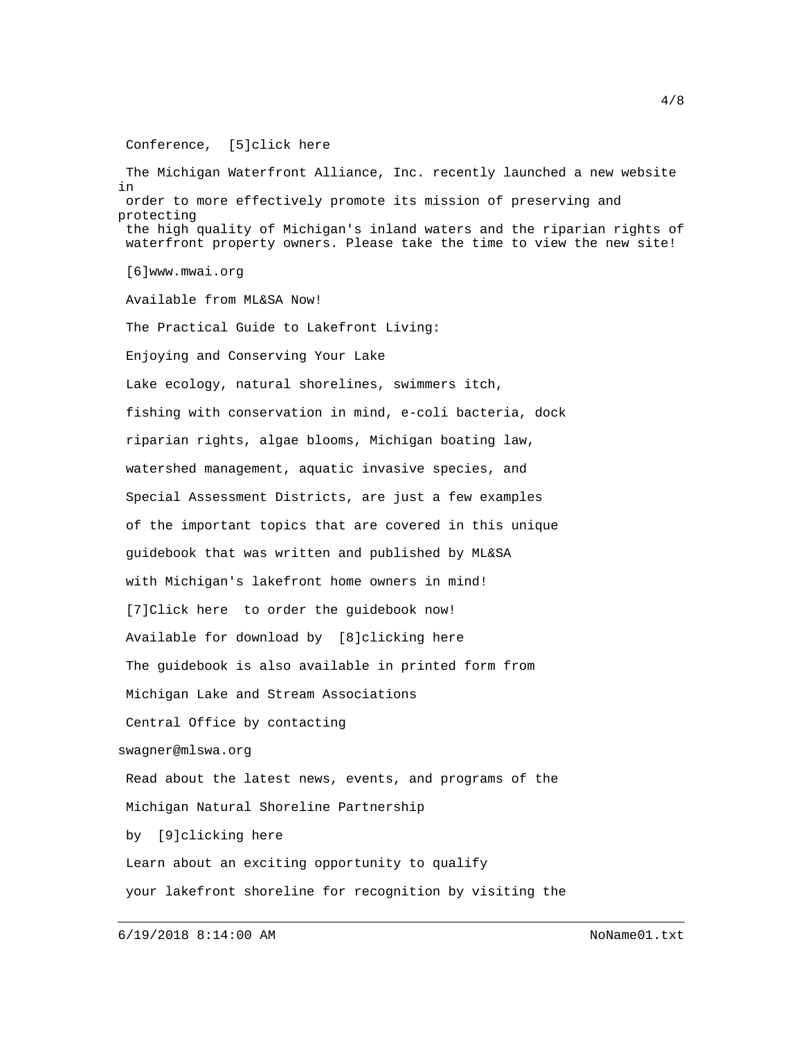Conference, [5]click here

 The Michigan Waterfront Alliance, Inc. recently launched a new website in order to more effectively promote its mission of preserving and protecting the high quality of Michigan's inland waters and the riparian rights of waterfront property owners. Please take the time to view the new site! [6]www.mwai.org Available from ML&SA Now! The Practical Guide to Lakefront Living: Enjoying and Conserving Your Lake Lake ecology, natural shorelines, swimmers itch, fishing with conservation in mind, e-coli bacteria, dock riparian rights, algae blooms, Michigan boating law, watershed management, aquatic invasive species, and Special Assessment Districts, are just a few examples of the important topics that are covered in this unique guidebook that was written and published by ML&SA with Michigan's lakefront home owners in mind! [7]Click here to order the guidebook now! Available for download by [8]clicking here The guidebook is also available in printed form from Michigan Lake and Stream Associations Central Office by contacting swagner@mlswa.org Read about the latest news, events, and programs of the Michigan Natural Shoreline Partnership by [9]clicking here Learn about an exciting opportunity to qualify your lakefront shoreline for recognition by visiting the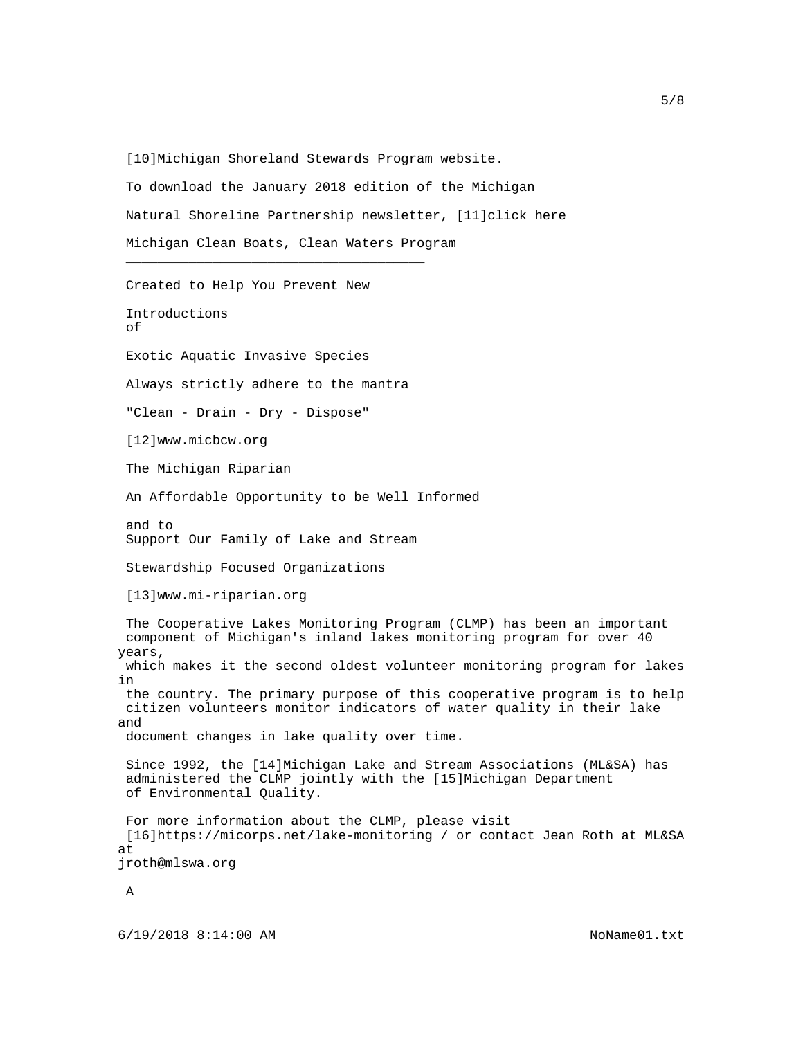[10]Michigan Shoreland Stewards Program website. To download the January 2018 edition of the Michigan Natural Shoreline Partnership newsletter, [11]click here Michigan Clean Boats, Clean Waters Program

 $\frac{1}{2}$  , and the set of the set of the set of the set of the set of the set of the set of the set of the set of the set of the set of the set of the set of the set of the set of the set of the set of the set of the set

 Created to Help You Prevent New Introductions of Exotic Aquatic Invasive Species Always strictly adhere to the mantra "Clean - Drain - Dry - Dispose" [12]www.micbcw.org The Michigan Riparian An Affordable Opportunity to be Well Informed and to Support Our Family of Lake and Stream Stewardship Focused Organizations [13]www.mi-riparian.org The Cooperative Lakes Monitoring Program (CLMP) has been an important component of Michigan's inland lakes monitoring program for over 40 years, which makes it the second oldest volunteer monitoring program for lakes in the country. The primary purpose of this cooperative program is to help citizen volunteers monitor indicators of water quality in their lake and document changes in lake quality over time. Since 1992, the [14]Michigan Lake and Stream Associations (ML&SA) has administered the CLMP jointly with the [15]Michigan Department of Environmental Quality. For more information about the CLMP, please visit [16]https://micorps.net/lake-monitoring / or contact Jean Roth at ML&SA at jroth@mlswa.org

A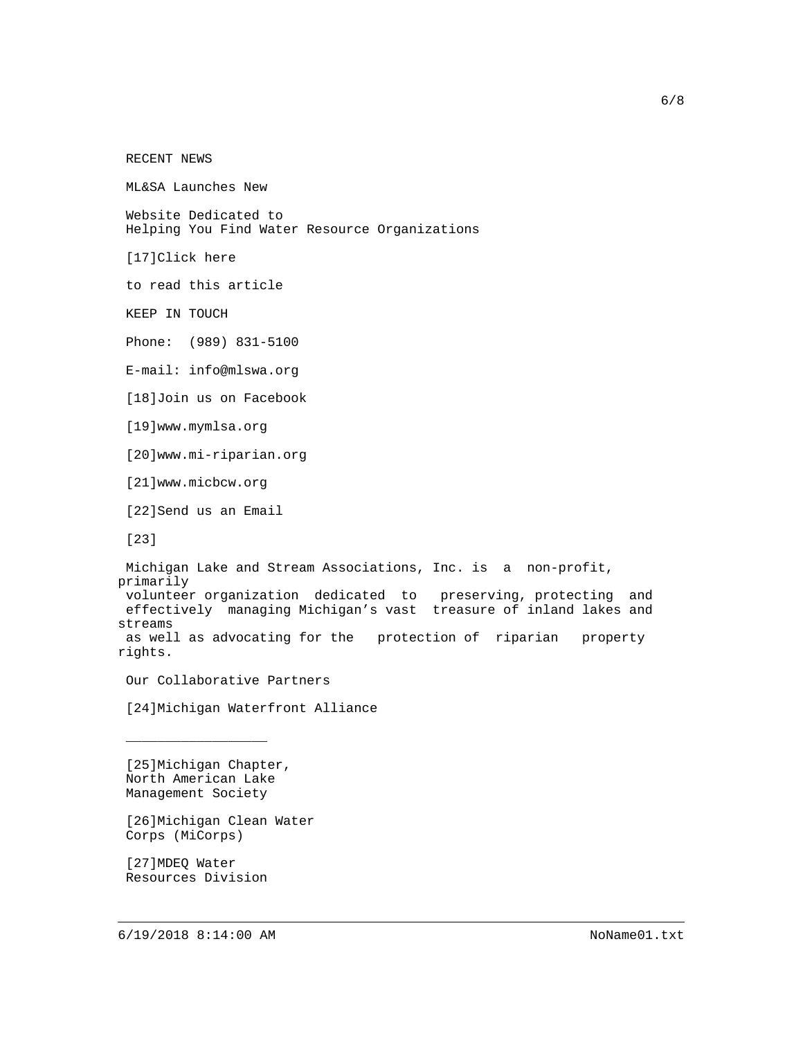RECENT NEWS

ML&SA Launches New

 Website Dedicated to Helping You Find Water Resource Organizations

[17]Click here

to read this article

KEEP IN TOUCH

Phone: (989) 831-5100

E-mail: info@mlswa.org

[18]Join us on Facebook

[19]www.mymlsa.org

[20]www.mi-riparian.org

[21]www.micbcw.org

[22]Send us an Email

[23]

 Michigan Lake and Stream Associations, Inc. is a non-profit, primarily volunteer organization dedicated to preserving, protecting and effectively managing Michigan's vast treasure of inland lakes and streams as well as advocating for the protection of riparian property rights.

Our Collaborative Partners

[24]Michigan Waterfront Alliance

 [25]Michigan Chapter, North American Lake Management Society

 $\overline{\phantom{a}}$  , where the contract of the contract of the contract of the contract of the contract of the contract of the contract of the contract of the contract of the contract of the contract of the contract of the contr

 [26]Michigan Clean Water Corps (MiCorps)

 [27]MDEQ Water Resources Division